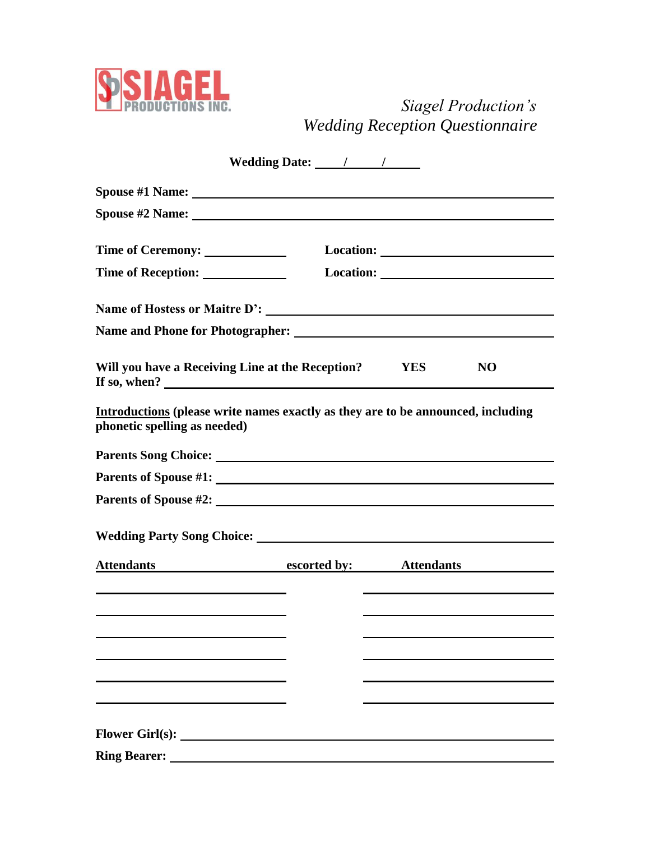

## *Siagel Production's Wedding Reception Questionnaire*

|                                                                                                                                                                                                                                | Wedding Date: 1 1 |                                                                                                                                                                                                                                |           |  |  |  |
|--------------------------------------------------------------------------------------------------------------------------------------------------------------------------------------------------------------------------------|-------------------|--------------------------------------------------------------------------------------------------------------------------------------------------------------------------------------------------------------------------------|-----------|--|--|--|
|                                                                                                                                                                                                                                |                   |                                                                                                                                                                                                                                |           |  |  |  |
| Spouse #2 Name: The Spouse Assembly and the Spouse Assembly and the Spouse Assembly and the Spouse Assembly and the Spouse Assembly and the Spouse Assembly and the Spouse Assembly and the Spouse Assembly and the Spouse Ass |                   |                                                                                                                                                                                                                                |           |  |  |  |
| Time of Ceremony: ________________                                                                                                                                                                                             |                   |                                                                                                                                                                                                                                |           |  |  |  |
| Time of Reception: _______________                                                                                                                                                                                             |                   | Location: New York Dental Property of the Contract of the Contract of the Contract of the Contract of the Contract of the Contract of the Contract of the Contract of the Contract of the Contract of the Contract of the Cont |           |  |  |  |
|                                                                                                                                                                                                                                |                   |                                                                                                                                                                                                                                |           |  |  |  |
|                                                                                                                                                                                                                                |                   |                                                                                                                                                                                                                                |           |  |  |  |
| Will you have a Receiving Line at the Reception? YES<br>If so, when? $\qquad \qquad$                                                                                                                                           |                   |                                                                                                                                                                                                                                | <b>NO</b> |  |  |  |
| Introductions (please write names exactly as they are to be announced, including<br>phonetic spelling as needed)                                                                                                               |                   |                                                                                                                                                                                                                                |           |  |  |  |
|                                                                                                                                                                                                                                |                   |                                                                                                                                                                                                                                |           |  |  |  |
|                                                                                                                                                                                                                                |                   |                                                                                                                                                                                                                                |           |  |  |  |
|                                                                                                                                                                                                                                |                   |                                                                                                                                                                                                                                |           |  |  |  |
|                                                                                                                                                                                                                                |                   |                                                                                                                                                                                                                                |           |  |  |  |
| Attendants escorted by: Attendants                                                                                                                                                                                             |                   |                                                                                                                                                                                                                                |           |  |  |  |
|                                                                                                                                                                                                                                |                   |                                                                                                                                                                                                                                |           |  |  |  |
|                                                                                                                                                                                                                                |                   |                                                                                                                                                                                                                                |           |  |  |  |
|                                                                                                                                                                                                                                |                   |                                                                                                                                                                                                                                |           |  |  |  |
|                                                                                                                                                                                                                                |                   |                                                                                                                                                                                                                                |           |  |  |  |
|                                                                                                                                                                                                                                |                   |                                                                                                                                                                                                                                |           |  |  |  |
|                                                                                                                                                                                                                                |                   |                                                                                                                                                                                                                                |           |  |  |  |
| <b>Ring Bearer:</b>                                                                                                                                                                                                            |                   |                                                                                                                                                                                                                                |           |  |  |  |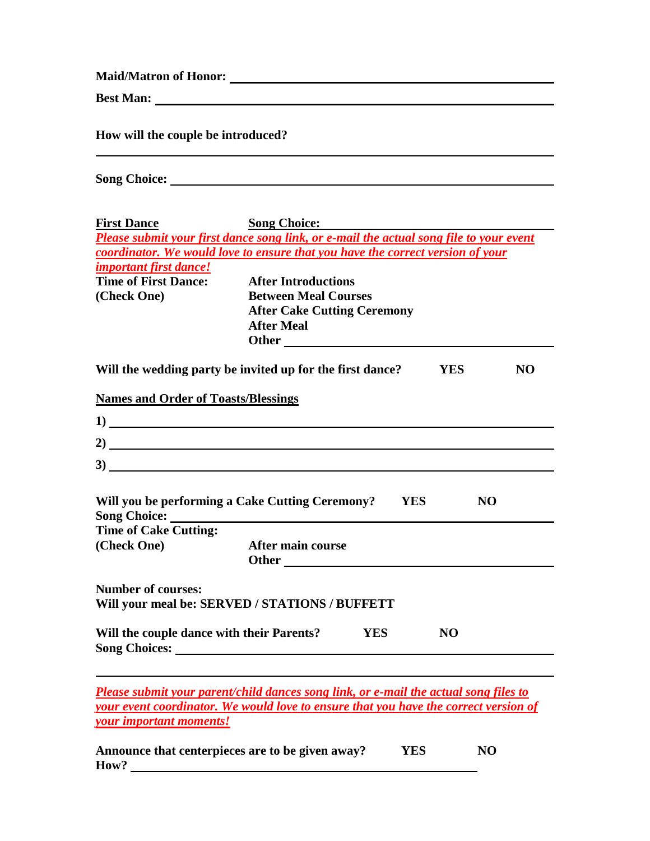**Maid/Matron of Honor:** 

**Best Man:** 

**How will the couple be introduced?**

**Song Choice:** 

| <b>First Dance</b>                                                                                                                                                                                                                   | <b>Song Choice:</b>         |  |            |                |  |  |  |
|--------------------------------------------------------------------------------------------------------------------------------------------------------------------------------------------------------------------------------------|-----------------------------|--|------------|----------------|--|--|--|
| Please submit your first dance song link, or e-mail the actual song file to your event                                                                                                                                               |                             |  |            |                |  |  |  |
| coordinator. We would love to ensure that you have the correct version of your                                                                                                                                                       |                             |  |            |                |  |  |  |
| important first dance!                                                                                                                                                                                                               |                             |  |            |                |  |  |  |
| <b>Time of First Dance:</b>                                                                                                                                                                                                          | <b>After Introductions</b>  |  |            |                |  |  |  |
| (Check One)                                                                                                                                                                                                                          | <b>Between Meal Courses</b> |  |            |                |  |  |  |
| <b>After Cake Cutting Ceremony</b>                                                                                                                                                                                                   |                             |  |            |                |  |  |  |
|                                                                                                                                                                                                                                      | <b>After Meal</b>           |  |            |                |  |  |  |
|                                                                                                                                                                                                                                      |                             |  |            |                |  |  |  |
| Will the wedding party be invited up for the first dance?                                                                                                                                                                            |                             |  | <b>YES</b> | <b>NO</b>      |  |  |  |
| <b>Names and Order of Toasts/Blessings</b>                                                                                                                                                                                           |                             |  |            |                |  |  |  |
| 1)                                                                                                                                                                                                                                   |                             |  |            |                |  |  |  |
| 2)                                                                                                                                                                                                                                   |                             |  |            |                |  |  |  |
| 3)                                                                                                                                                                                                                                   |                             |  |            |                |  |  |  |
|                                                                                                                                                                                                                                      |                             |  |            |                |  |  |  |
| Will you be performing a Cake Cutting Ceremony? YES<br><b>Song Choice:</b>                                                                                                                                                           |                             |  |            | <b>NO</b>      |  |  |  |
| <b>Time of Cake Cutting:</b>                                                                                                                                                                                                         |                             |  |            |                |  |  |  |
| (Check One)                                                                                                                                                                                                                          | After main course           |  |            |                |  |  |  |
| <b>Number of courses:</b>                                                                                                                                                                                                            |                             |  |            |                |  |  |  |
| Will your meal be: SERVED / STATIONS / BUFFETT                                                                                                                                                                                       |                             |  |            |                |  |  |  |
| Will the couple dance with their Parents? YES                                                                                                                                                                                        |                             |  | <b>NO</b>  |                |  |  |  |
| Song Choices: <u>New York: New York: New York: New York: New York: New York: New York: New York: New York: New York: New York: New York: New York: New York: New York: New York: New York: New York: New York: New York: New Yor</u> |                             |  |            |                |  |  |  |
| <b>Please submit your parent/child dances song link, or e-mail the actual song files to</b>                                                                                                                                          |                             |  |            |                |  |  |  |
| your event coordinator. We would love to ensure that you have the correct version of                                                                                                                                                 |                             |  |            |                |  |  |  |
| <b>your important moments!</b>                                                                                                                                                                                                       |                             |  |            |                |  |  |  |
| Announce that centerpieces are to be given away?                                                                                                                                                                                     |                             |  | <b>YES</b> | N <sub>O</sub> |  |  |  |
| How?                                                                                                                                                                                                                                 |                             |  |            |                |  |  |  |